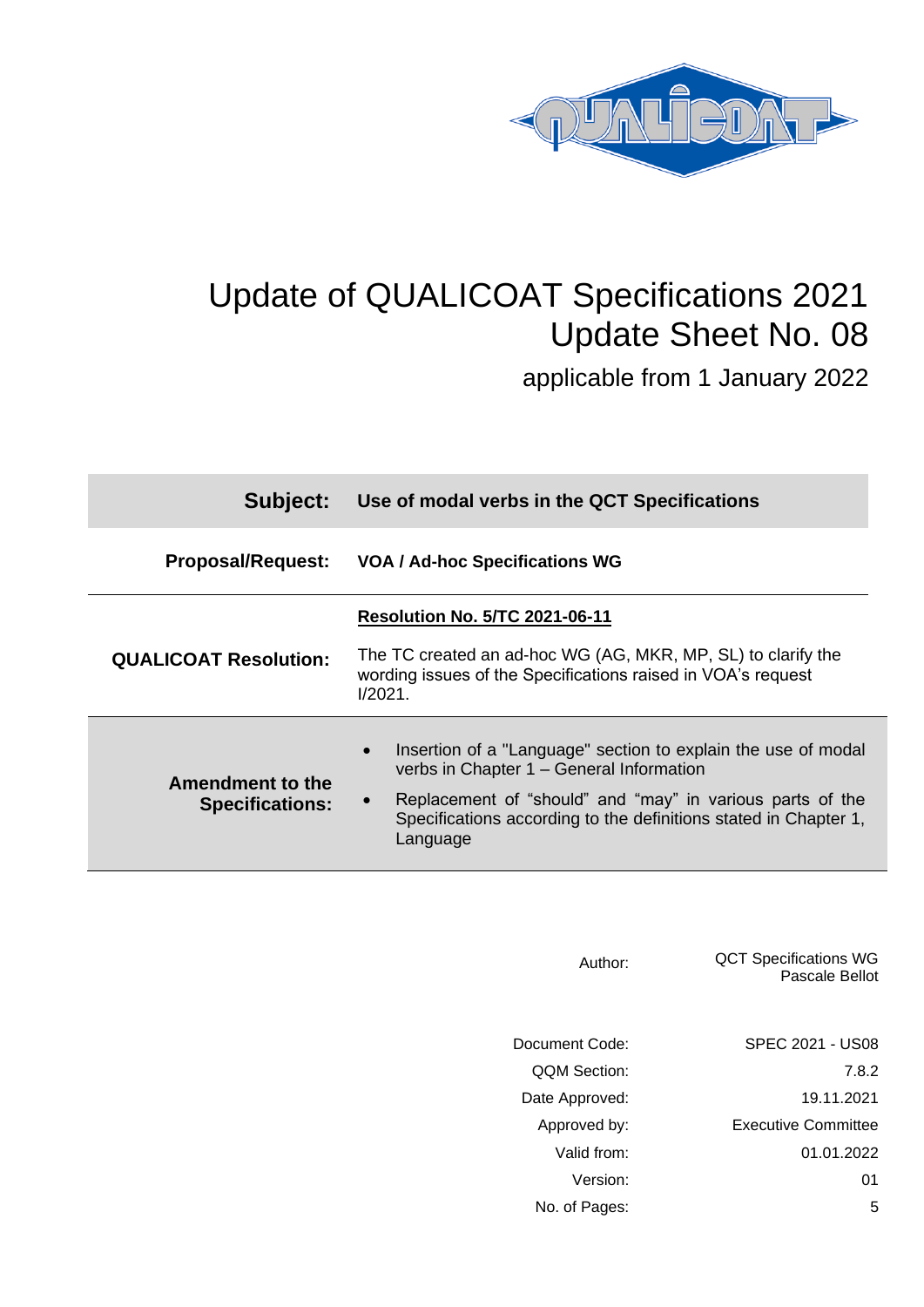

# Update of QUALICOAT Specifications 2021 Update Sheet No. 08

applicable from 1 January 2022

| Subject:                                   | Use of modal verbs in the QCT Specifications                                                                                                                                                                                                                                     |  |
|--------------------------------------------|----------------------------------------------------------------------------------------------------------------------------------------------------------------------------------------------------------------------------------------------------------------------------------|--|
| <b>Proposal/Request:</b>                   | VOA / Ad-hoc Specifications WG                                                                                                                                                                                                                                                   |  |
| <b>QUALICOAT Resolution:</b>               | <b>Resolution No. 5/TC 2021-06-11</b><br>The TC created an ad-hoc WG (AG, MKR, MP, SL) to clarify the<br>wording issues of the Specifications raised in VOA's request<br>1/2021.                                                                                                 |  |
| Amendment to the<br><b>Specifications:</b> | Insertion of a "Language" section to explain the use of modal<br>$\bullet$<br>verbs in Chapter 1 - General Information<br>Replacement of "should" and "may" in various parts of the<br>$\bullet$<br>Specifications according to the definitions stated in Chapter 1,<br>Language |  |

| Author:             | <b>QCT Specifications WG</b><br>Pascale Bellot |
|---------------------|------------------------------------------------|
| Document Code:      | SPEC 2021 - US08                               |
| <b>OOM Section:</b> | 7.8.2                                          |
| Date Approved:      | 19.11.2021                                     |
| Approved by:        | <b>Executive Committee</b>                     |
| Valid from:         | 01.01.2022                                     |
| Version:            | 01                                             |
| No. of Pages:       | 5                                              |
|                     |                                                |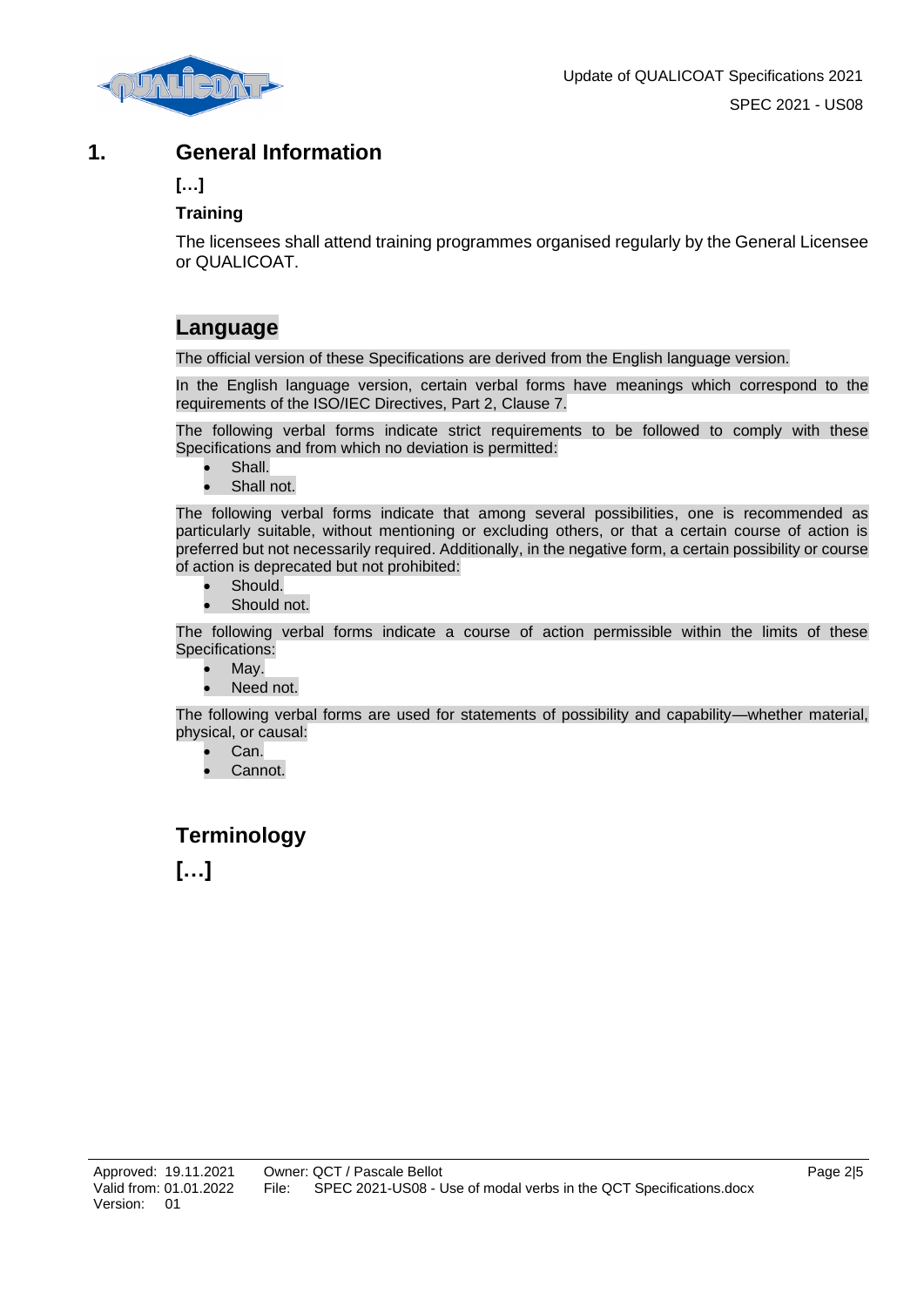

### **1. General Information**

**[…]**

#### **Training**

The licensees shall attend training programmes organised regularly by the General Licensee or QUALICOAT.

## **Language**

The official version of these Specifications are derived from the English language version.

In the English language version, certain verbal forms have meanings which correspond to the requirements of the ISO/IEC Directives, Part 2, Clause 7.

The following verbal forms indicate strict requirements to be followed to comply with these Specifications and from which no deviation is permitted:

- Shall.
- Shall not.

The following verbal forms indicate that among several possibilities, one is recommended as particularly suitable, without mentioning or excluding others, or that a certain course of action is preferred but not necessarily required. Additionally, in the negative form, a certain possibility or course of action is deprecated but not prohibited:

- Should.
- Should not.

The following verbal forms indicate a course of action permissible within the limits of these Specifications:

- May.
- Need not.

The following verbal forms are used for statements of possibility and capability—whether material, physical, or causal:

- Can.
- Cannot.

## **Terminology**

**[…]**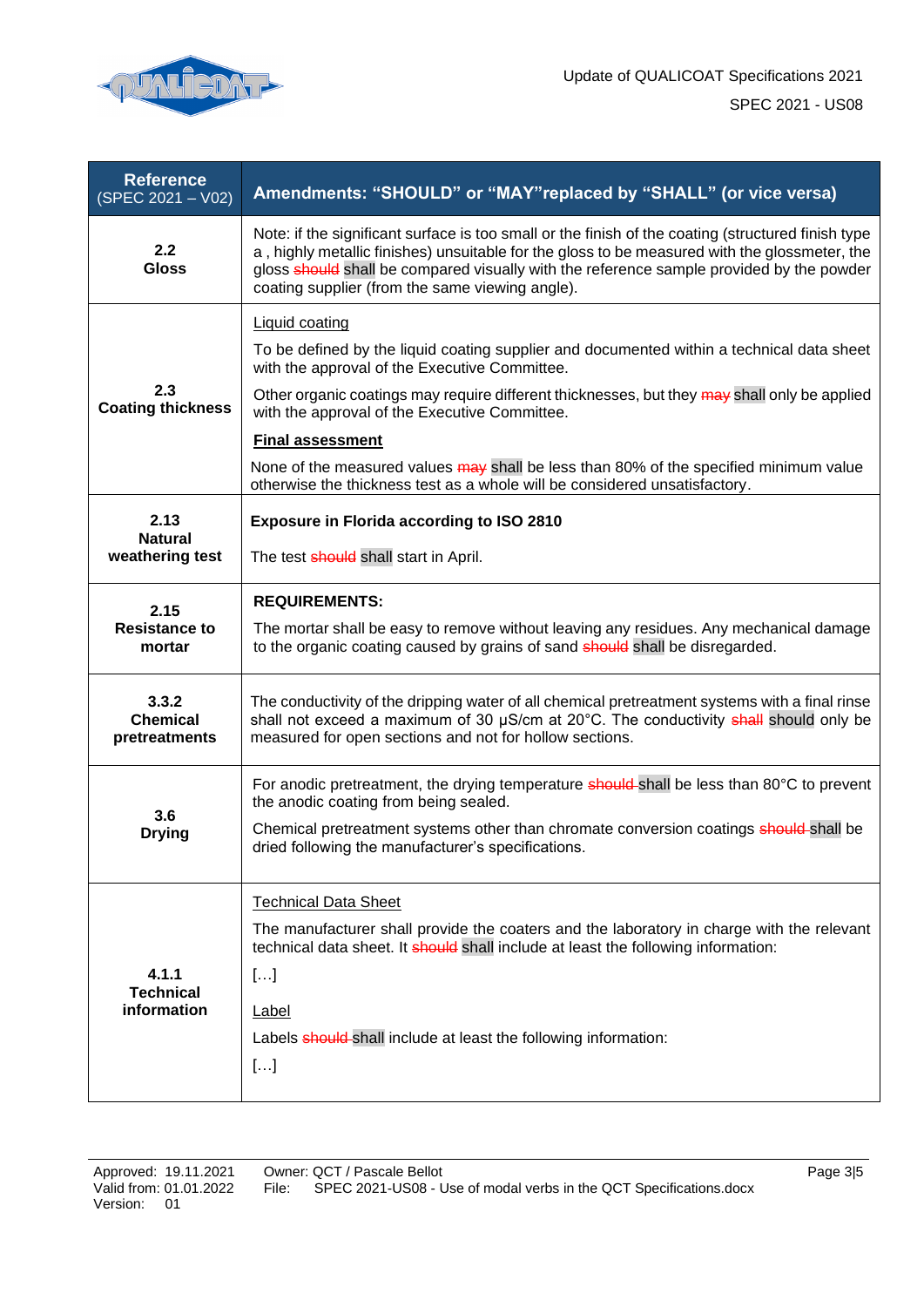

| <b>Reference</b><br>$(SPEC 2021 - V02)$   | Amendments: "SHOULD" or "MAY" replaced by "SHALL" (or vice versa)                                                                                                                                                                                                                                                                                  |  |  |
|-------------------------------------------|----------------------------------------------------------------------------------------------------------------------------------------------------------------------------------------------------------------------------------------------------------------------------------------------------------------------------------------------------|--|--|
| 2.2<br><b>Gloss</b>                       | Note: if the significant surface is too small or the finish of the coating (structured finish type<br>a, highly metallic finishes) unsuitable for the gloss to be measured with the glossmeter, the<br>gloss should shall be compared visually with the reference sample provided by the powder<br>coating supplier (from the same viewing angle). |  |  |
| 2.3<br><b>Coating thickness</b>           | <b>Liquid coating</b>                                                                                                                                                                                                                                                                                                                              |  |  |
|                                           | To be defined by the liquid coating supplier and documented within a technical data sheet<br>with the approval of the Executive Committee.                                                                                                                                                                                                         |  |  |
|                                           | Other organic coatings may require different thicknesses, but they may shall only be applied<br>with the approval of the Executive Committee.                                                                                                                                                                                                      |  |  |
|                                           | <b>Final assessment</b>                                                                                                                                                                                                                                                                                                                            |  |  |
|                                           | None of the measured values may shall be less than 80% of the specified minimum value<br>otherwise the thickness test as a whole will be considered unsatisfactory.                                                                                                                                                                                |  |  |
| 2.13<br><b>Natural</b>                    | <b>Exposure in Florida according to ISO 2810</b>                                                                                                                                                                                                                                                                                                   |  |  |
| weathering test                           | The test <b>should</b> shall start in April.                                                                                                                                                                                                                                                                                                       |  |  |
| 2.15<br><b>Resistance to</b><br>mortar    | <b>REQUIREMENTS:</b>                                                                                                                                                                                                                                                                                                                               |  |  |
|                                           | The mortar shall be easy to remove without leaving any residues. Any mechanical damage<br>to the organic coating caused by grains of sand should shall be disregarded.                                                                                                                                                                             |  |  |
| 3.3.2<br><b>Chemical</b><br>pretreatments | The conductivity of the dripping water of all chemical pretreatment systems with a final rinse<br>shall not exceed a maximum of 30 µS/cm at 20°C. The conductivity shall should only be<br>measured for open sections and not for hollow sections.                                                                                                 |  |  |
| 3.6<br><b>Drying</b>                      | For anodic pretreatment, the drying temperature should-shall be less than 80°C to prevent<br>the anodic coating from being sealed.                                                                                                                                                                                                                 |  |  |
|                                           | Chemical pretreatment systems other than chromate conversion coatings should shall be<br>dried following the manufacturer's specifications.                                                                                                                                                                                                        |  |  |
|                                           | <b>Technical Data Sheet</b>                                                                                                                                                                                                                                                                                                                        |  |  |
| 4.1.1<br><b>Technical</b><br>information  | The manufacturer shall provide the coaters and the laboratory in charge with the relevant<br>technical data sheet. It should shall include at least the following information:                                                                                                                                                                     |  |  |
|                                           | []                                                                                                                                                                                                                                                                                                                                                 |  |  |
|                                           | Label                                                                                                                                                                                                                                                                                                                                              |  |  |
|                                           | Labels should-shall include at least the following information:                                                                                                                                                                                                                                                                                    |  |  |
|                                           | []                                                                                                                                                                                                                                                                                                                                                 |  |  |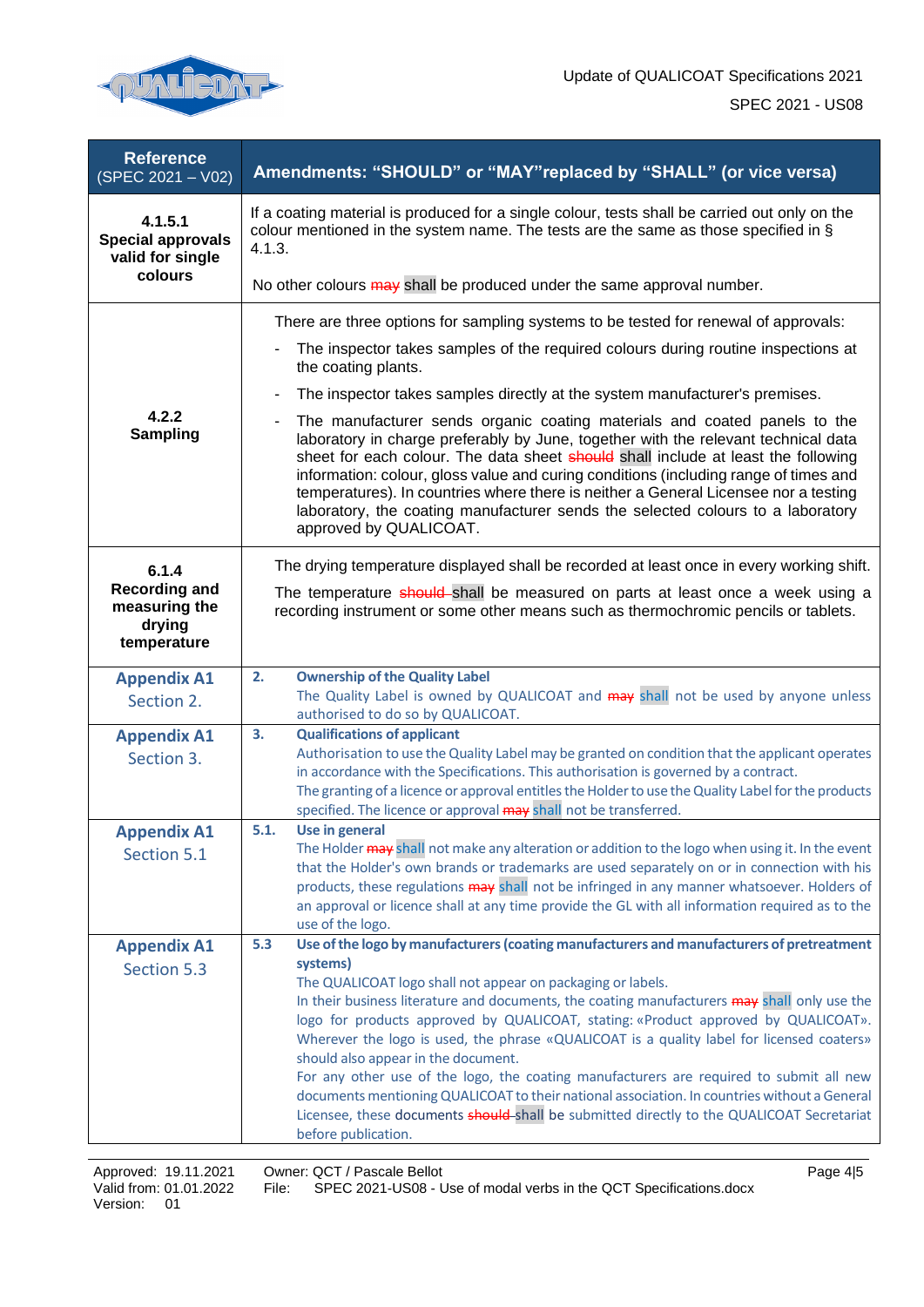

| <b>Reference</b><br>(SPEC 2021 - V02)                   | Amendments: "SHOULD" or "MAY" replaced by "SHALL" (or vice versa)                                                                                                                                                                                                                                                                                                                                                                                                                                                                                |  |  |
|---------------------------------------------------------|--------------------------------------------------------------------------------------------------------------------------------------------------------------------------------------------------------------------------------------------------------------------------------------------------------------------------------------------------------------------------------------------------------------------------------------------------------------------------------------------------------------------------------------------------|--|--|
| 4.1.5.1<br><b>Special approvals</b><br>valid for single | If a coating material is produced for a single colour, tests shall be carried out only on the<br>colour mentioned in the system name. The tests are the same as those specified in $\S$<br>4.1.3.                                                                                                                                                                                                                                                                                                                                                |  |  |
| colours                                                 | No other colours may shall be produced under the same approval number.                                                                                                                                                                                                                                                                                                                                                                                                                                                                           |  |  |
|                                                         | There are three options for sampling systems to be tested for renewal of approvals:                                                                                                                                                                                                                                                                                                                                                                                                                                                              |  |  |
|                                                         | The inspector takes samples of the required colours during routine inspections at<br>the coating plants.                                                                                                                                                                                                                                                                                                                                                                                                                                         |  |  |
|                                                         | The inspector takes samples directly at the system manufacturer's premises.                                                                                                                                                                                                                                                                                                                                                                                                                                                                      |  |  |
| 4.2.2<br><b>Sampling</b>                                | The manufacturer sends organic coating materials and coated panels to the<br>laboratory in charge preferably by June, together with the relevant technical data<br>sheet for each colour. The data sheet should shall include at least the following<br>information: colour, gloss value and curing conditions (including range of times and<br>temperatures). In countries where there is neither a General Licensee nor a testing<br>laboratory, the coating manufacturer sends the selected colours to a laboratory<br>approved by QUALICOAT. |  |  |
| 6.1.4                                                   | The drying temperature displayed shall be recorded at least once in every working shift.                                                                                                                                                                                                                                                                                                                                                                                                                                                         |  |  |
| <b>Recording and</b><br>measuring the                   | The temperature should-shall be measured on parts at least once a week using a<br>recording instrument or some other means such as thermochromic pencils or tablets.                                                                                                                                                                                                                                                                                                                                                                             |  |  |
| drying<br>temperature                                   |                                                                                                                                                                                                                                                                                                                                                                                                                                                                                                                                                  |  |  |
| <b>Appendix A1</b>                                      | <b>Ownership of the Quality Label</b><br>2.                                                                                                                                                                                                                                                                                                                                                                                                                                                                                                      |  |  |
| Section 2.                                              | The Quality Label is owned by QUALICOAT and may shall not be used by anyone unless<br>authorised to do so by QUALICOAT.                                                                                                                                                                                                                                                                                                                                                                                                                          |  |  |
| <b>Appendix A1</b>                                      | 3.<br><b>Qualifications of applicant</b>                                                                                                                                                                                                                                                                                                                                                                                                                                                                                                         |  |  |
| Section 3.                                              | Authorisation to use the Quality Label may be granted on condition that the applicant operates<br>in accordance with the Specifications. This authorisation is governed by a contract.                                                                                                                                                                                                                                                                                                                                                           |  |  |
|                                                         | The granting of a licence or approval entitles the Holder to use the Quality Label for the products                                                                                                                                                                                                                                                                                                                                                                                                                                              |  |  |
|                                                         | specified. The licence or approval may shall not be transferred.<br>5.1.<br>Use in general                                                                                                                                                                                                                                                                                                                                                                                                                                                       |  |  |
| <b>Appendix A1</b><br>Section 5.1                       | The Holder may shall not make any alteration or addition to the logo when using it. In the event                                                                                                                                                                                                                                                                                                                                                                                                                                                 |  |  |
|                                                         | that the Holder's own brands or trademarks are used separately on or in connection with his                                                                                                                                                                                                                                                                                                                                                                                                                                                      |  |  |
|                                                         | products, these regulations may shall not be infringed in any manner whatsoever. Holders of                                                                                                                                                                                                                                                                                                                                                                                                                                                      |  |  |
|                                                         | an approval or licence shall at any time provide the GL with all information required as to the<br>use of the logo.                                                                                                                                                                                                                                                                                                                                                                                                                              |  |  |
| <b>Appendix A1</b>                                      | Use of the logo by manufacturers (coating manufacturers and manufacturers of pretreatment<br>5.3                                                                                                                                                                                                                                                                                                                                                                                                                                                 |  |  |
| Section 5.3                                             | systems)                                                                                                                                                                                                                                                                                                                                                                                                                                                                                                                                         |  |  |
|                                                         | The QUALICOAT logo shall not appear on packaging or labels.<br>In their business literature and documents, the coating manufacturers may shall only use the                                                                                                                                                                                                                                                                                                                                                                                      |  |  |
|                                                         | logo for products approved by QUALICOAT, stating: «Product approved by QUALICOAT».                                                                                                                                                                                                                                                                                                                                                                                                                                                               |  |  |
|                                                         | Wherever the logo is used, the phrase «QUALICOAT is a quality label for licensed coaters»                                                                                                                                                                                                                                                                                                                                                                                                                                                        |  |  |
|                                                         | should also appear in the document.<br>For any other use of the logo, the coating manufacturers are required to submit all new                                                                                                                                                                                                                                                                                                                                                                                                                   |  |  |
|                                                         | documents mentioning QUALICOAT to their national association. In countries without a General                                                                                                                                                                                                                                                                                                                                                                                                                                                     |  |  |
|                                                         | Licensee, these documents should-shall be submitted directly to the QUALICOAT Secretariat                                                                                                                                                                                                                                                                                                                                                                                                                                                        |  |  |
|                                                         | before publication.                                                                                                                                                                                                                                                                                                                                                                                                                                                                                                                              |  |  |